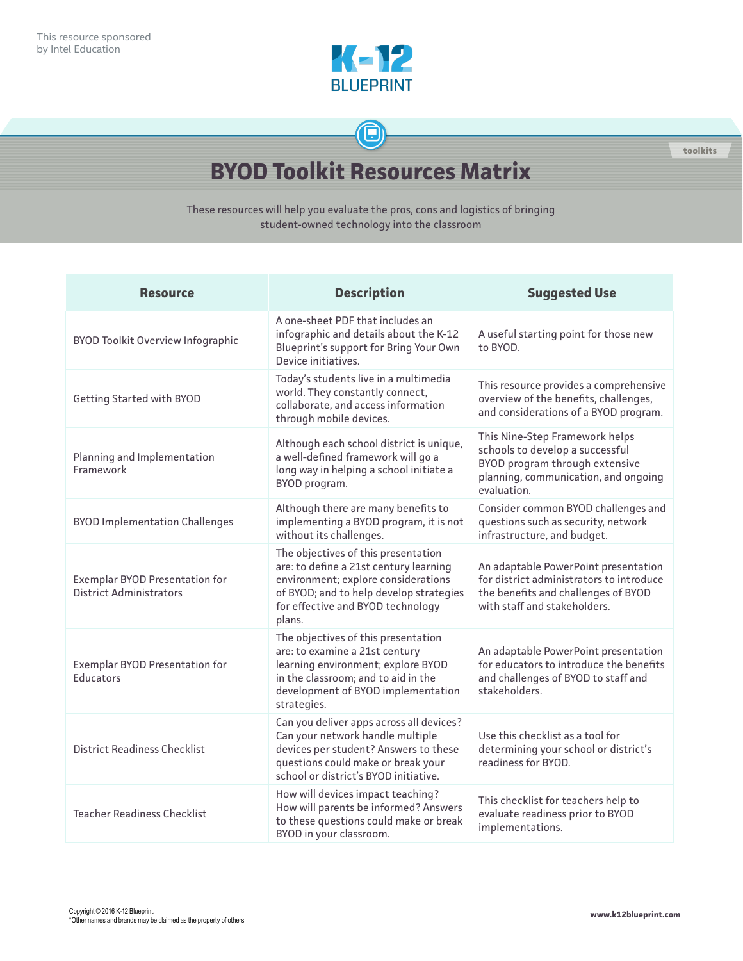

## $\bigoplus$

**toolkits**

## **BYOD Toolkit Resources Matrix**

These resources will help you evaluate the pros, cons and logistics of bringing student-owned technology into the classroom

| <b>Resource</b>                                                         | <b>Description</b>                                                                                                                                                                                             | <b>Suggested Use</b>                                                                                                                                       |
|-------------------------------------------------------------------------|----------------------------------------------------------------------------------------------------------------------------------------------------------------------------------------------------------------|------------------------------------------------------------------------------------------------------------------------------------------------------------|
| <b>BYOD Toolkit Overview Infographic</b>                                | A one-sheet PDF that includes an<br>infographic and details about the K-12<br>Blueprint's support for Bring Your Own<br>Device initiatives.                                                                    | A useful starting point for those new<br>to BYOD.                                                                                                          |
| <b>Getting Started with BYOD</b>                                        | Today's students live in a multimedia<br>world. They constantly connect,<br>collaborate, and access information<br>through mobile devices.                                                                     | This resource provides a comprehensive<br>overview of the benefits, challenges,<br>and considerations of a BYOD program.                                   |
| Planning and Implementation<br>Framework                                | Although each school district is unique,<br>a well-defined framework will go a<br>long way in helping a school initiate a<br>BYOD program.                                                                     | This Nine-Step Framework helps<br>schools to develop a successful<br>BYOD program through extensive<br>planning, communication, and ongoing<br>evaluation. |
| <b>BYOD Implementation Challenges</b>                                   | Although there are many benefits to<br>implementing a BYOD program, it is not<br>without its challenges.                                                                                                       | Consider common BYOD challenges and<br>questions such as security, network<br>infrastructure, and budget.                                                  |
| <b>Exemplar BYOD Presentation for</b><br><b>District Administrators</b> | The objectives of this presentation<br>are: to define a 21st century learning<br>environment; explore considerations<br>of BYOD; and to help develop strategies<br>for effective and BYOD technology<br>plans. | An adaptable PowerPoint presentation<br>for district administrators to introduce<br>the benefits and challenges of BYOD<br>with staff and stakeholders.    |
| Exemplar BYOD Presentation for<br><b>Educators</b>                      | The objectives of this presentation<br>are: to examine a 21st century<br>learning environment; explore BYOD<br>in the classroom; and to aid in the<br>development of BYOD implementation<br>strategies.        | An adaptable PowerPoint presentation<br>for educators to introduce the benefits<br>and challenges of BYOD to staff and<br>stakeholders.                    |
| <b>District Readiness Checklist</b>                                     | Can you deliver apps across all devices?<br>Can your network handle multiple<br>devices per student? Answers to these<br>questions could make or break your<br>school or district's BYOD initiative.           | Use this checklist as a tool for<br>determining your school or district's<br>readiness for BYOD.                                                           |
| <b>Teacher Readiness Checklist</b>                                      | How will devices impact teaching?<br>How will parents be informed? Answers<br>to these questions could make or break<br>BYOD in your classroom.                                                                | This checklist for teachers help to<br>evaluate readiness prior to BYOD<br>implementations.                                                                |